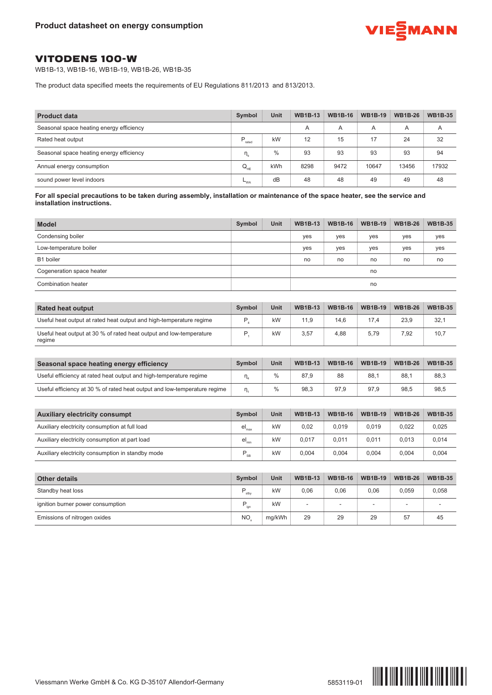

## VITODENS 100-W

WB1B-13, WB1B-16, WB1B-19, WB1B-26, WB1B-35

The product data specified meets the requirements of EU Regulations 811/2013 and 813/2013.

| <b>Product data</b>                      | Symbol             | Unit          | <b>WB1B-13</b> | <b>WB1B-16</b> | <b>WB1B-19</b> | <b>WB1B-26</b> | <b>WB1B-35</b> |
|------------------------------------------|--------------------|---------------|----------------|----------------|----------------|----------------|----------------|
| Seasonal space heating energy efficiency |                    |               | A              | A              | Α              | A              | A              |
| Rated heat output                        | $P_{\text{rated}}$ | kW            | 12             | 15             | 17             | 24             | 32             |
| Seasonal space heating energy efficiency | η.                 | $\frac{0}{0}$ | 93             | 93             | 93             | 93             | 94             |
| Annual energy consumption                | $Q_{HF}$           | kWh           | 8298           | 9472           | 10647          | 13456          | 17932          |
| sound power level indoors                | $-w_A$             | dB            | 48             | 48             | 49             | 49             | 48             |

For all special precautions to be taken during assembly, installation or maintenance of the space heater, see the service and **installation instructions.**

| <b>Model</b>              | Symbol | <b>Unit</b> | <b>WB1B-13</b> | <b>WB1B-16</b> | <b>WB1B-19</b> | <b>WB1B-26</b> | <b>WB1B-35</b> |
|---------------------------|--------|-------------|----------------|----------------|----------------|----------------|----------------|
| Condensing boiler         |        |             | yes            | yes            | yes            | yes            | yes            |
| Low-temperature boiler    |        |             | yes            | yes            | yes            | yes            | yes            |
| B1 boiler                 |        |             | no             | no             | no             | no             | no             |
| Cogeneration space heater |        |             |                |                | no             |                |                |
| Combination heater        |        |             |                |                | no             |                |                |

| <b>Rated heat output</b>                                                      | <b>Symbol</b> | Unit | <b>WB1B-13</b> | <b>WB1B-16</b> | <b>WB1B-19</b> | <b>WB1B-26</b> | <b>WB1B-35</b> |
|-------------------------------------------------------------------------------|---------------|------|----------------|----------------|----------------|----------------|----------------|
| Useful heat output at rated heat output and high-temperature regime           |               | kW   | 11.9           | 14.6           | 17.4           | 23,9           | 32,1           |
| Useful heat output at 30 % of rated heat output and low-temperature<br>regime |               | kW   | 3,57           | 4.88           | 5,79           | 7,92           | 10,7           |

| Seasonal space heating energy efficiency                                  | Symbol | Unit | <b>WB1B-13</b> | <b>WB1B-16</b> | <b>WB1B-19</b> | <b>WB1B-26</b> | <b>WB1B-35</b> |
|---------------------------------------------------------------------------|--------|------|----------------|----------------|----------------|----------------|----------------|
| Useful efficiency at rated heat output and high-temperature regime        |        |      | 87.9           | 88             | 88.1           | 88.7           | 88,3           |
| Useful efficiency at 30 % of rated heat output and low-temperature regime |        |      | 98.3           | 97.9           | 97.9           | 98.5           | 98,5           |

| <b>Auxiliary electricity consumpt</b>             | <b>Symbol</b>                | Unit | <b>WB1B-13</b> | <b>WB1B-16</b> | <b>WB1B-19</b> | <b>WB1B-26</b> | <b>WB1B-35</b> |
|---------------------------------------------------|------------------------------|------|----------------|----------------|----------------|----------------|----------------|
| Auxiliary electricity consumption at full load    | $\mathsf{el}_{\mathsf{max}}$ | kW   | 0,02           | 0.019          | 0.019          | 0.022          | 0,025          |
| Auxiliary electricity consumption at part load    | $\mathsf{el}_{\mathsf{min}}$ | kW   | 0.017          | 0.011          | 0.011          | 0.013          | 0,014          |
| Auxiliary electricity consumption in standby mode | D<br><b>SB</b>               | kW   | 0.004          | 0.004          | 0.004          | 0.004          | 0,004          |

| <b>Other details</b>              | Symbol    | Unit   | <b>WB1B-13</b>           | <b>WB1B-16</b> | <b>WB1B-19</b>           | <b>WB1B-26</b> | <b>WB1B-35</b> |
|-----------------------------------|-----------|--------|--------------------------|----------------|--------------------------|----------------|----------------|
| Standby heat loss                 | D<br>stby | kW     | 0.06                     | 0.06           | 0.06                     | 0.059          | 0,058          |
| ignition burner power consumption | D<br>ian  | kW     | $\overline{\phantom{a}}$ |                | $\overline{\phantom{a}}$ | -              |                |
| Emissions of nitrogen oxides      | <b>NO</b> | mg/kWh | 29                       | 29             | 29                       | 57             | 45             |